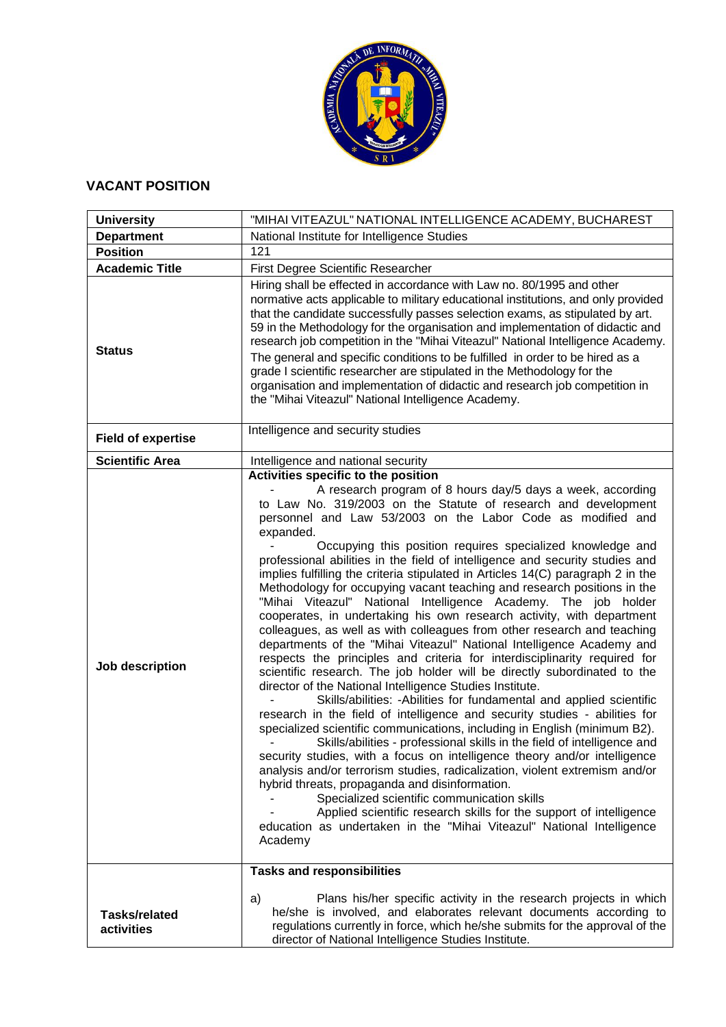

## **VACANT POSITION**

| <b>University</b>                  | "MIHAI VITEAZUL" NATIONAL INTELLIGENCE ACADEMY, BUCHAREST                                                                                                                                                                                                                                                                                                                                                                                                                                                                                                                                                                                                                                                                                                                                                                                                                                                                                                                                                                                                                                                                                                                                                                                                                                                                                                                                                                                                                                                                                                                                                                                                                                                                                                                                                                                                 |
|------------------------------------|-----------------------------------------------------------------------------------------------------------------------------------------------------------------------------------------------------------------------------------------------------------------------------------------------------------------------------------------------------------------------------------------------------------------------------------------------------------------------------------------------------------------------------------------------------------------------------------------------------------------------------------------------------------------------------------------------------------------------------------------------------------------------------------------------------------------------------------------------------------------------------------------------------------------------------------------------------------------------------------------------------------------------------------------------------------------------------------------------------------------------------------------------------------------------------------------------------------------------------------------------------------------------------------------------------------------------------------------------------------------------------------------------------------------------------------------------------------------------------------------------------------------------------------------------------------------------------------------------------------------------------------------------------------------------------------------------------------------------------------------------------------------------------------------------------------------------------------------------------------|
| <b>Department</b>                  | National Institute for Intelligence Studies                                                                                                                                                                                                                                                                                                                                                                                                                                                                                                                                                                                                                                                                                                                                                                                                                                                                                                                                                                                                                                                                                                                                                                                                                                                                                                                                                                                                                                                                                                                                                                                                                                                                                                                                                                                                               |
| <b>Position</b>                    | 121                                                                                                                                                                                                                                                                                                                                                                                                                                                                                                                                                                                                                                                                                                                                                                                                                                                                                                                                                                                                                                                                                                                                                                                                                                                                                                                                                                                                                                                                                                                                                                                                                                                                                                                                                                                                                                                       |
| <b>Academic Title</b>              | First Degree Scientific Researcher                                                                                                                                                                                                                                                                                                                                                                                                                                                                                                                                                                                                                                                                                                                                                                                                                                                                                                                                                                                                                                                                                                                                                                                                                                                                                                                                                                                                                                                                                                                                                                                                                                                                                                                                                                                                                        |
| <b>Status</b>                      | Hiring shall be effected in accordance with Law no. 80/1995 and other<br>normative acts applicable to military educational institutions, and only provided<br>that the candidate successfully passes selection exams, as stipulated by art.<br>59 in the Methodology for the organisation and implementation of didactic and<br>research job competition in the "Mihai Viteazul" National Intelligence Academy.<br>The general and specific conditions to be fulfilled in order to be hired as a<br>grade I scientific researcher are stipulated in the Methodology for the<br>organisation and implementation of didactic and research job competition in<br>the "Mihai Viteazul" National Intelligence Academy.                                                                                                                                                                                                                                                                                                                                                                                                                                                                                                                                                                                                                                                                                                                                                                                                                                                                                                                                                                                                                                                                                                                                         |
| <b>Field of expertise</b>          | Intelligence and security studies                                                                                                                                                                                                                                                                                                                                                                                                                                                                                                                                                                                                                                                                                                                                                                                                                                                                                                                                                                                                                                                                                                                                                                                                                                                                                                                                                                                                                                                                                                                                                                                                                                                                                                                                                                                                                         |
| <b>Scientific Area</b>             | Intelligence and national security                                                                                                                                                                                                                                                                                                                                                                                                                                                                                                                                                                                                                                                                                                                                                                                                                                                                                                                                                                                                                                                                                                                                                                                                                                                                                                                                                                                                                                                                                                                                                                                                                                                                                                                                                                                                                        |
| Job description                    | Activities specific to the position<br>A research program of 8 hours day/5 days a week, according<br>to Law No. 319/2003 on the Statute of research and development<br>personnel and Law 53/2003 on the Labor Code as modified and<br>expanded.<br>Occupying this position requires specialized knowledge and<br>professional abilities in the field of intelligence and security studies and<br>implies fulfilling the criteria stipulated in Articles 14(C) paragraph 2 in the<br>Methodology for occupying vacant teaching and research positions in the<br>"Mihai Viteazul" National Intelligence Academy. The job holder<br>cooperates, in undertaking his own research activity, with department<br>colleagues, as well as with colleagues from other research and teaching<br>departments of the "Mihai Viteazul" National Intelligence Academy and<br>respects the principles and criteria for interdisciplinarity required for<br>scientific research. The job holder will be directly subordinated to the<br>director of the National Intelligence Studies Institute.<br>Skills/abilities: - Abilities for fundamental and applied scientific<br>research in the field of intelligence and security studies - abilities for<br>specialized scientific communications, including in English (minimum B2).<br>Skills/abilities - professional skills in the field of intelligence and<br>security studies, with a focus on intelligence theory and/or intelligence<br>analysis and/or terrorism studies, radicalization, violent extremism and/or<br>hybrid threats, propaganda and disinformation.<br>Specialized scientific communication skills<br>Applied scientific research skills for the support of intelligence<br>education as undertaken in the "Mihai Viteazul" National Intelligence<br>Academy<br><b>Tasks and responsibilities</b> |
| <b>Tasks/related</b><br>activities | Plans his/her specific activity in the research projects in which<br>a)<br>he/she is involved, and elaborates relevant documents according to<br>regulations currently in force, which he/she submits for the approval of the<br>director of National Intelligence Studies Institute.                                                                                                                                                                                                                                                                                                                                                                                                                                                                                                                                                                                                                                                                                                                                                                                                                                                                                                                                                                                                                                                                                                                                                                                                                                                                                                                                                                                                                                                                                                                                                                     |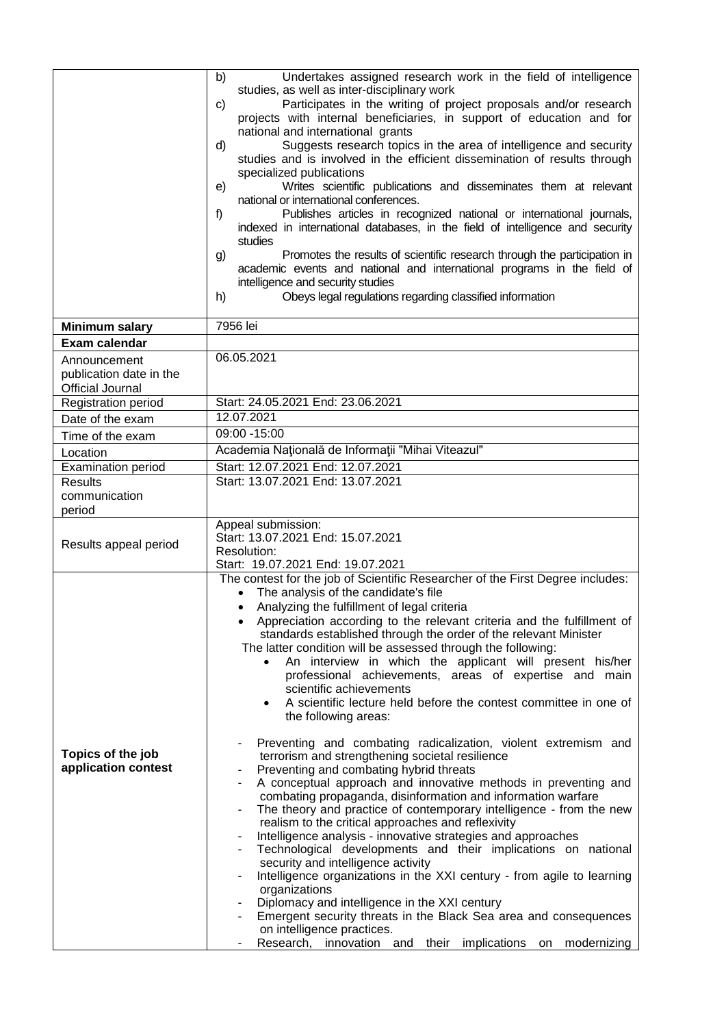|                                                                    | Undertakes assigned research work in the field of intelligence<br>b)<br>studies, as well as inter-disciplinary work<br>Participates in the writing of project proposals and/or research<br>C)<br>projects with internal beneficiaries, in support of education and for<br>national and international grants<br>Suggests research topics in the area of intelligence and security<br>d)<br>studies and is involved in the efficient dissemination of results through<br>specialized publications<br>Writes scientific publications and disseminates them at relevant<br>e)<br>national or international conferences.<br>Publishes articles in recognized national or international journals,<br>f)<br>indexed in international databases, in the field of intelligence and security<br>studies<br>Promotes the results of scientific research through the participation in<br>g)<br>academic events and national and international programs in the field of<br>intelligence and security studies<br>Obeys legal regulations regarding classified information<br>h)                                                                                                                                                                                                                                                                                                                                                                                                                                                                                               |
|--------------------------------------------------------------------|-----------------------------------------------------------------------------------------------------------------------------------------------------------------------------------------------------------------------------------------------------------------------------------------------------------------------------------------------------------------------------------------------------------------------------------------------------------------------------------------------------------------------------------------------------------------------------------------------------------------------------------------------------------------------------------------------------------------------------------------------------------------------------------------------------------------------------------------------------------------------------------------------------------------------------------------------------------------------------------------------------------------------------------------------------------------------------------------------------------------------------------------------------------------------------------------------------------------------------------------------------------------------------------------------------------------------------------------------------------------------------------------------------------------------------------------------------------------------------------------------------------------------------------------------------------------|
| <b>Minimum salary</b>                                              | 7956 lei                                                                                                                                                                                                                                                                                                                                                                                                                                                                                                                                                                                                                                                                                                                                                                                                                                                                                                                                                                                                                                                                                                                                                                                                                                                                                                                                                                                                                                                                                                                                                        |
| <b>Exam calendar</b>                                               |                                                                                                                                                                                                                                                                                                                                                                                                                                                                                                                                                                                                                                                                                                                                                                                                                                                                                                                                                                                                                                                                                                                                                                                                                                                                                                                                                                                                                                                                                                                                                                 |
| Announcement<br>publication date in the<br><b>Official Journal</b> | 06.05.2021                                                                                                                                                                                                                                                                                                                                                                                                                                                                                                                                                                                                                                                                                                                                                                                                                                                                                                                                                                                                                                                                                                                                                                                                                                                                                                                                                                                                                                                                                                                                                      |
| <b>Registration period</b>                                         | Start: 24.05.2021 End: 23.06.2021                                                                                                                                                                                                                                                                                                                                                                                                                                                                                                                                                                                                                                                                                                                                                                                                                                                                                                                                                                                                                                                                                                                                                                                                                                                                                                                                                                                                                                                                                                                               |
| Date of the exam                                                   | 12.07.2021                                                                                                                                                                                                                                                                                                                                                                                                                                                                                                                                                                                                                                                                                                                                                                                                                                                                                                                                                                                                                                                                                                                                                                                                                                                                                                                                                                                                                                                                                                                                                      |
| Time of the exam                                                   | 09:00 - 15:00                                                                                                                                                                                                                                                                                                                                                                                                                                                                                                                                                                                                                                                                                                                                                                                                                                                                                                                                                                                                                                                                                                                                                                                                                                                                                                                                                                                                                                                                                                                                                   |
| Location                                                           | Academia Națională de Informații "Mihai Viteazul"                                                                                                                                                                                                                                                                                                                                                                                                                                                                                                                                                                                                                                                                                                                                                                                                                                                                                                                                                                                                                                                                                                                                                                                                                                                                                                                                                                                                                                                                                                               |
| Examination period                                                 | Start: 12.07.2021 End: 12.07.2021<br>Start: 13.07.2021 End: 13.07.2021                                                                                                                                                                                                                                                                                                                                                                                                                                                                                                                                                                                                                                                                                                                                                                                                                                                                                                                                                                                                                                                                                                                                                                                                                                                                                                                                                                                                                                                                                          |
| <b>Results</b><br>communication<br>period                          |                                                                                                                                                                                                                                                                                                                                                                                                                                                                                                                                                                                                                                                                                                                                                                                                                                                                                                                                                                                                                                                                                                                                                                                                                                                                                                                                                                                                                                                                                                                                                                 |
| Results appeal period                                              | Appeal submission:<br>Start: 13.07.2021 End: 15.07.2021<br>Resolution:<br>Start: 19.07.2021 End: 19.07.2021                                                                                                                                                                                                                                                                                                                                                                                                                                                                                                                                                                                                                                                                                                                                                                                                                                                                                                                                                                                                                                                                                                                                                                                                                                                                                                                                                                                                                                                     |
| Topics of the job<br>application contest                           | The contest for the job of Scientific Researcher of the First Degree includes:<br>The analysis of the candidate's file<br>Analyzing the fulfillment of legal criteria<br>Appreciation according to the relevant criteria and the fulfillment of<br>standards established through the order of the relevant Minister<br>The latter condition will be assessed through the following:<br>An interview in which the applicant will present his/her<br>$\bullet$<br>professional achievements, areas of expertise and main<br>scientific achievements<br>A scientific lecture held before the contest committee in one of<br>the following areas:<br>Preventing and combating radicalization, violent extremism and<br>terrorism and strengthening societal resilience<br>Preventing and combating hybrid threats<br>A conceptual approach and innovative methods in preventing and<br>combating propaganda, disinformation and information warfare<br>The theory and practice of contemporary intelligence - from the new<br>realism to the critical approaches and reflexivity<br>Intelligence analysis - innovative strategies and approaches<br>Technological developments and their implications on national<br>security and intelligence activity<br>Intelligence organizations in the XXI century - from agile to learning<br>organizations<br>Diplomacy and intelligence in the XXI century<br>Emergent security threats in the Black Sea area and consequences<br>on intelligence practices.<br>Research, innovation and their implications on modernizing |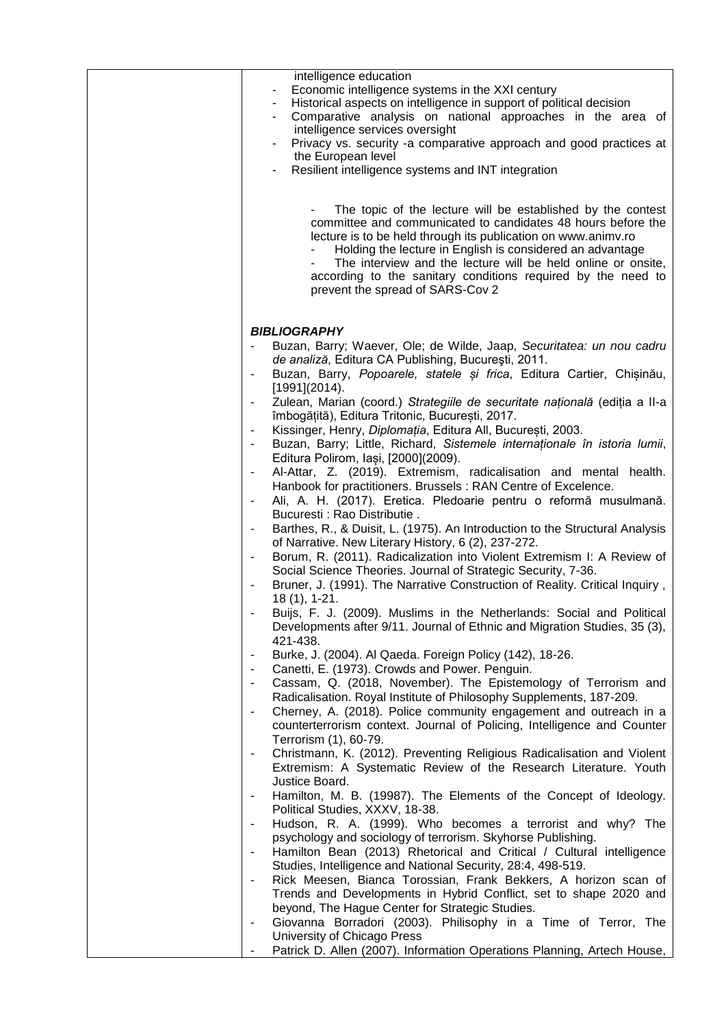| intelligence education<br>Economic intelligence systems in the XXI century<br>Historical aspects on intelligence in support of political decision<br>Comparative analysis on national approaches in the area of<br>intelligence services oversight<br>Privacy vs. security -a comparative approach and good practices at<br>the European level<br>Resilient intelligence systems and INT integration                          |
|-------------------------------------------------------------------------------------------------------------------------------------------------------------------------------------------------------------------------------------------------------------------------------------------------------------------------------------------------------------------------------------------------------------------------------|
| The topic of the lecture will be established by the contest<br>committee and communicated to candidates 48 hours before the<br>lecture is to be held through its publication on www.animy.ro<br>Holding the lecture in English is considered an advantage<br>The interview and the lecture will be held online or onsite,<br>according to the sanitary conditions required by the need to<br>prevent the spread of SARS-Cov 2 |
|                                                                                                                                                                                                                                                                                                                                                                                                                               |
| <b>BIBLIOGRAPHY</b><br>Buzan, Barry; Waever, Ole; de Wilde, Jaap, Securitatea: un nou cadru<br>de analiză, Editura CA Publishing, București, 2011.<br>Buzan, Barry, Popoarele, statele și frica, Editura Cartier, Chișinău,<br>[1991](2014).                                                                                                                                                                                  |
| Zulean, Marian (coord.) Strategiile de securitate națională (ediția a II-a                                                                                                                                                                                                                                                                                                                                                    |
| îmbogățită), Editura Tritonic, București, 2017.                                                                                                                                                                                                                                                                                                                                                                               |
| Kissinger, Henry, Diplomatia, Editura All, București, 2003.<br>$\overline{\phantom{a}}$<br>Buzan, Barry; Little, Richard, Sistemele internaționale în istoria lumii,                                                                                                                                                                                                                                                          |
| Editura Polirom, Iași, [2000](2009).                                                                                                                                                                                                                                                                                                                                                                                          |
| Al-Attar, Z. (2019). Extremism, radicalisation and mental health.                                                                                                                                                                                                                                                                                                                                                             |
| Hanbook for practitioners. Brussels : RAN Centre of Excelence.                                                                                                                                                                                                                                                                                                                                                                |
| Ali, A. H. (2017). Eretica. Pledoarie pentru o reformă musulmană.                                                                                                                                                                                                                                                                                                                                                             |
| Bucuresti: Rao Distributie.                                                                                                                                                                                                                                                                                                                                                                                                   |
| Barthes, R., & Duisit, L. (1975). An Introduction to the Structural Analysis                                                                                                                                                                                                                                                                                                                                                  |
| of Narrative. New Literary History, 6 (2), 237-272.                                                                                                                                                                                                                                                                                                                                                                           |
| Borum, R. (2011). Radicalization into Violent Extremism I: A Review of                                                                                                                                                                                                                                                                                                                                                        |
| Social Science Theories. Journal of Strategic Security, 7-36.                                                                                                                                                                                                                                                                                                                                                                 |
| Bruner, J. (1991). The Narrative Construction of Reality. Critical Inquiry,<br>$18(1), 1-21.$                                                                                                                                                                                                                                                                                                                                 |
| Buijs, F. J. (2009). Muslims in the Netherlands: Social and Political                                                                                                                                                                                                                                                                                                                                                         |
| Developments after 9/11. Journal of Ethnic and Migration Studies, 35 (3),<br>421-438.                                                                                                                                                                                                                                                                                                                                         |
| Burke, J. (2004). Al Qaeda. Foreign Policy (142), 18-26.                                                                                                                                                                                                                                                                                                                                                                      |
| Canetti, E. (1973). Crowds and Power. Penguin.                                                                                                                                                                                                                                                                                                                                                                                |
| Cassam, Q. (2018, November). The Epistemology of Terrorism and                                                                                                                                                                                                                                                                                                                                                                |
| Radicalisation. Royal Institute of Philosophy Supplements, 187-209.                                                                                                                                                                                                                                                                                                                                                           |
| Cherney, A. (2018). Police community engagement and outreach in a                                                                                                                                                                                                                                                                                                                                                             |
| counterterrorism context. Journal of Policing, Intelligence and Counter<br>Terrorism (1), 60-79.                                                                                                                                                                                                                                                                                                                              |
| Christmann, K. (2012). Preventing Religious Radicalisation and Violent                                                                                                                                                                                                                                                                                                                                                        |
| Extremism: A Systematic Review of the Research Literature. Youth                                                                                                                                                                                                                                                                                                                                                              |
| Justice Board.                                                                                                                                                                                                                                                                                                                                                                                                                |
| Hamilton, M. B. (19987). The Elements of the Concept of Ideology.                                                                                                                                                                                                                                                                                                                                                             |
| Political Studies, XXXV, 18-38.                                                                                                                                                                                                                                                                                                                                                                                               |
| Hudson, R. A. (1999). Who becomes a terrorist and why? The<br>$\overline{\phantom{a}}$                                                                                                                                                                                                                                                                                                                                        |
| psychology and sociology of terrorism. Skyhorse Publishing.                                                                                                                                                                                                                                                                                                                                                                   |
| Hamilton Bean (2013) Rhetorical and Critical / Cultural intelligence                                                                                                                                                                                                                                                                                                                                                          |
| Studies, Intelligence and National Security, 28:4, 498-519.                                                                                                                                                                                                                                                                                                                                                                   |
| Rick Meesen, Bianca Torossian, Frank Bekkers, A horizon scan of<br>Trends and Developments in Hybrid Conflict, set to shape 2020 and                                                                                                                                                                                                                                                                                          |
| beyond, The Hague Center for Strategic Studies.                                                                                                                                                                                                                                                                                                                                                                               |
| Giovanna Borradori (2003). Philisophy in a Time of Terror, The                                                                                                                                                                                                                                                                                                                                                                |
| University of Chicago Press                                                                                                                                                                                                                                                                                                                                                                                                   |
| Patrick D. Allen (2007). Information Operations Planning, Artech House,                                                                                                                                                                                                                                                                                                                                                       |
|                                                                                                                                                                                                                                                                                                                                                                                                                               |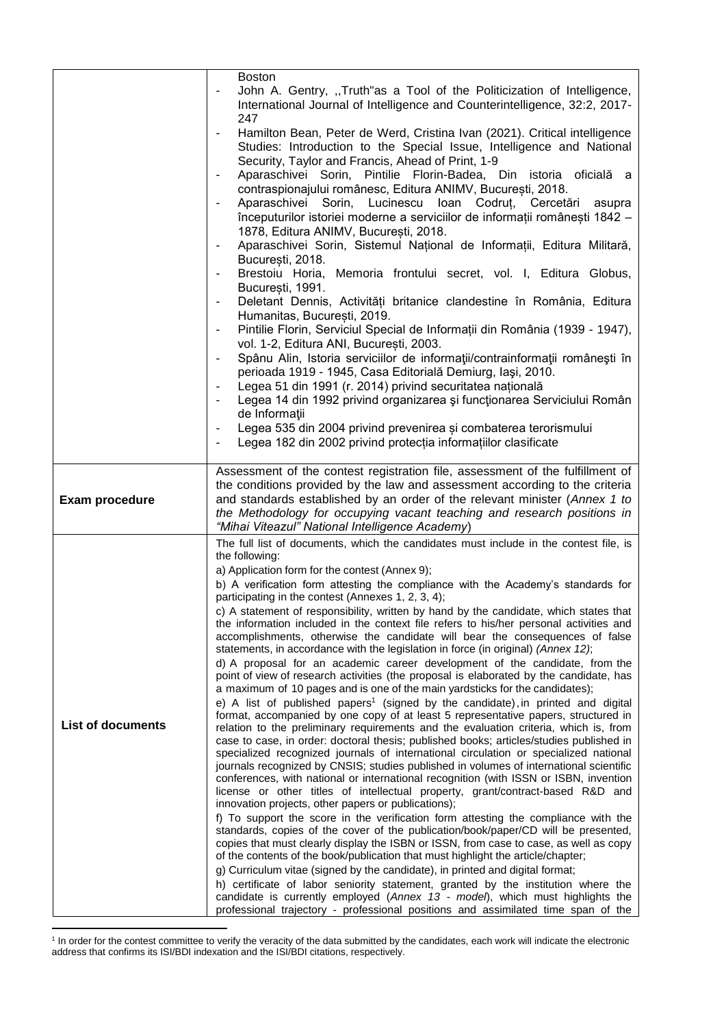|                          | <b>Boston</b><br>John A. Gentry, "Truth"as a Tool of the Politicization of Intelligence,<br>International Journal of Intelligence and Counterintelligence, 32:2, 2017-                                                                                                                                                                                                                                                                                                                                                                                  |
|--------------------------|---------------------------------------------------------------------------------------------------------------------------------------------------------------------------------------------------------------------------------------------------------------------------------------------------------------------------------------------------------------------------------------------------------------------------------------------------------------------------------------------------------------------------------------------------------|
|                          | 247<br>Hamilton Bean, Peter de Werd, Cristina Ivan (2021). Critical intelligence<br>$\overline{\phantom{a}}$<br>Studies: Introduction to the Special Issue, Intelligence and National<br>Security, Taylor and Francis, Ahead of Print, 1-9<br>Aparaschivei Sorin, Pintilie Florin-Badea, Din istoria oficială a                                                                                                                                                                                                                                         |
|                          | contraspionajului românesc, Editura ANIMV, București, 2018.<br>Aparaschivei Sorin, Lucinescu Ioan Codruț, Cercetări<br>asupra<br>începuturilor istoriei moderne a serviciilor de informații românești 1842 -                                                                                                                                                                                                                                                                                                                                            |
|                          | 1878, Editura ANIMV, București, 2018.<br>Aparaschivei Sorin, Sistemul Național de Informații, Editura Militară,<br>București, 2018.                                                                                                                                                                                                                                                                                                                                                                                                                     |
|                          | Brestoiu Horia, Memoria frontului secret, vol. I, Editura Globus,<br>۰<br>București, 1991.                                                                                                                                                                                                                                                                                                                                                                                                                                                              |
|                          | Deletant Dennis, Activități britanice clandestine în România, Editura<br>$\overline{\phantom{a}}$<br>Humanitas, Bucuresti, 2019.                                                                                                                                                                                                                                                                                                                                                                                                                        |
|                          | Pintilie Florin, Serviciul Special de Informații din România (1939 - 1947),<br>vol. 1-2, Editura ANI, București, 2003.<br>Spânu Alin, Istoria serviciilor de informații/contrainformații românești în                                                                                                                                                                                                                                                                                                                                                   |
|                          | perioada 1919 - 1945, Casa Editorială Demiurg, Iași, 2010.<br>Legea 51 din 1991 (r. 2014) privind securitatea națională                                                                                                                                                                                                                                                                                                                                                                                                                                 |
|                          | Legea 14 din 1992 privind organizarea și funcționarea Serviciului Român<br>de Informații                                                                                                                                                                                                                                                                                                                                                                                                                                                                |
|                          | Legea 535 din 2004 privind prevenirea și combaterea terorismului<br>Legea 182 din 2002 privind protecția informațiilor clasificate                                                                                                                                                                                                                                                                                                                                                                                                                      |
| <b>Exam procedure</b>    | Assessment of the contest registration file, assessment of the fulfillment of<br>the conditions provided by the law and assessment according to the criteria<br>and standards established by an order of the relevant minister (Annex 1 to<br>the Methodology for occupying vacant teaching and research positions in<br>"Mihai Viteazul" National Intelligence Academy)                                                                                                                                                                                |
|                          | The full list of documents, which the candidates must include in the contest file, is<br>the following:                                                                                                                                                                                                                                                                                                                                                                                                                                                 |
|                          | a) Application form for the contest (Annex 9);<br>b) A verification form attesting the compliance with the Academy's standards for<br>participating in the contest (Annexes 1, 2, 3, 4);                                                                                                                                                                                                                                                                                                                                                                |
|                          | c) A statement of responsibility, written by hand by the candidate, which states that<br>the information included in the context file refers to his/her personal activities and<br>accomplishments, otherwise the candidate will bear the consequences of false<br>statements, in accordance with the legislation in force (in original) (Annex 12);                                                                                                                                                                                                    |
|                          | d) A proposal for an academic career development of the candidate, from the<br>point of view of research activities (the proposal is elaborated by the candidate, has<br>a maximum of 10 pages and is one of the main yardsticks for the candidates);                                                                                                                                                                                                                                                                                                   |
| <b>List of documents</b> | e) A list of published papers <sup>1</sup> (signed by the candidate), in printed and digital<br>format, accompanied by one copy of at least 5 representative papers, structured in<br>relation to the preliminary requirements and the evaluation criteria, which is, from<br>case to case, in order: doctoral thesis; published books; articles/studies published in<br>specialized recognized journals of international circulation or specialized national<br>journals recognized by CNSIS; studies published in volumes of international scientific |
|                          | conferences, with national or international recognition (with ISSN or ISBN, invention<br>license or other titles of intellectual property, grant/contract-based R&D and<br>innovation projects, other papers or publications);                                                                                                                                                                                                                                                                                                                          |
|                          | f) To support the score in the verification form attesting the compliance with the<br>standards, copies of the cover of the publication/book/paper/CD will be presented,                                                                                                                                                                                                                                                                                                                                                                                |
|                          | copies that must clearly display the ISBN or ISSN, from case to case, as well as copy<br>of the contents of the book/publication that must highlight the article/chapter;<br>g) Curriculum vitae (signed by the candidate), in printed and digital format;                                                                                                                                                                                                                                                                                              |
|                          | h) certificate of labor seniority statement, granted by the institution where the                                                                                                                                                                                                                                                                                                                                                                                                                                                                       |
|                          | candidate is currently employed (Annex 13 - model), which must highlights the<br>professional trajectory - professional positions and assimilated time span of the                                                                                                                                                                                                                                                                                                                                                                                      |

 1 In order for the contest committee to verify the veracity of the data submitted by the candidates, each work will indicate the electronic address that confirms its ISI/BDI indexation and the ISI/BDI citations, respectively.